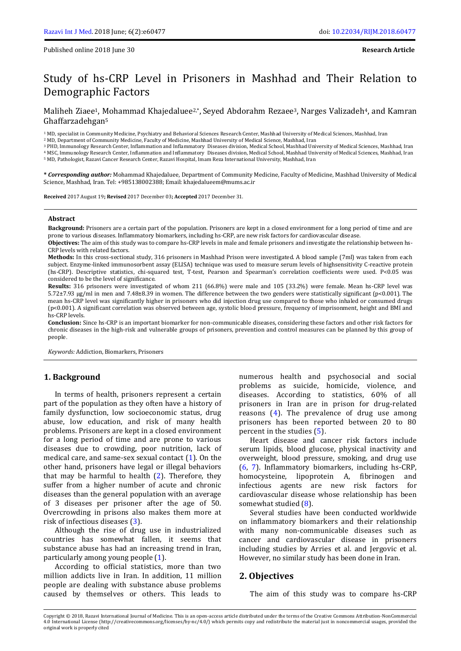# Study of hs-CRP Level in Prisoners in Mashhad and Their Relation to Demographic Factors

Maliheh Ziaee<sup>1</sup>, Mohammad Khajedaluee<sup>2,\*</sup>, Seyed Abdorahm Rezaee<sup>3</sup>, Narges Valizadeh<sup>4</sup>, and Kamran Ghaffarzadehgan<sup>5</sup>

<sup>1</sup> MD, specialist in Community Medicine, Psychiatry and Behavioral Sciences Research Center, Mashhad University of Medical Sciences, Mashhad, Iran

<sup>2</sup> MD, Department of Community Medicine, Faculty of Medicine, Mashhad University of Medical Science, Mashhad, Iran

<sup>3</sup> PHD, Immunology Research Center, Inflammation and Inflammatory Diseases division, Medical School, Mashhad University of Medical Sciences, Mashhad, Iran

<sup>4</sup> MSC, Immunology Research Center, Inflammation and Inflammatory Diseases division, Medical School, Mashhad University of Medical Sciences, Mashhad, Iran

<sup>5</sup> MD, Pathologist, Razavi Cancer Research Center, Razavi Hospital, Imam Reza International University, Mashhad, Iran

**\*** *Corresponding author:* Mohammad Khajedaluee, Department of Community Medicine, Faculty of Medicine, Mashhad University of Medical Science, Mashhad, Iran. Tel: +985138002388; Email[: khajedalueem@mums.ac.ir](mailto:khajedalueem@mums.ac.ir)

**Received** 2017 August 19**; Revised** 2017 December 03**; Accepted** 2017 December 31.

#### **Abstract**

**Background:** Prisoners are a certain part of the population. Prisoners are kept in a closed environment for a long period of time and are prone to various diseases. Inflammatory biomarkers, including hs-CRP, are new risk factors for cardiovascular disease.

**Objectives:** The aim of this study was to compare hs-CRP levels in male and female prisoners and investigate the relationship between hs-CRP levels with related factors.

**Methods:** In this cross-sectional study, 316 prisoners in Mashhad Prison were investigated. A blood sample (7ml) was taken from each subject. Enzyme-linked immunosorbent assay (ELISA) technique was used to measure serum levels of highsensitivity C-reactive protein (hs-CRP). Descriptive statistics, chi-squared test, T-test, Pearson and Spearman's correlation coefficients were used. P<0.05 was considered to be the level of significance.

**Results:** 316 prisoners were investigated of whom 211 (66.8%) were male and 105 (33.2%) were female. Mean hs-CRP level was 5.72±7.93 µg/ml in men and 7.48±8.39 in women. The difference between the two genders were statistically significant (p<0.001). The mean hs-CRP level was significantly higher in prisoners who did injection drug use compared to those who inhaled or consumed drugs (p<0.001). A significant correlation was observed between age, systolic blood pressure, frequency of imprisonment, height and BMI and hs-CRP levels.

**Conclusion:** Since hs-CRP is an important biomarker for non-communicable diseases, considering these factors and other risk factors for chronic diseases in the high-risk and vulnerable groups of prisoners, prevention and control measures can be planned by this group of people.

*Keywords:* Addiction, Biomarkers, Prisoners

#### **1. Background**

In terms of health, prisoners represent a certain part of the population as they often have a history of family dysfunction, low socioeconomic status, drug abuse, low education, and risk of many health problems. Prisoners are kept in a closed environment for a long period of time and are prone to various diseases due to crowding, poor nutrition, lack of medical care, and same-sex sexual contact [\(1\)](#page-4-0). On the other hand, prisoners have legal or illegal behaviors that may be harmful to health [\(2\)](#page-4-1). Therefore, they suffer from a higher number of acute and chronic diseases than the general population with an average of 3 diseases per prisoner after the age of 50. Overcrowding in prisons also makes them more at risk of infectious diseases [\(3\)](#page-4-2).

Although the rise of drug use in industrialized countries has somewhat fallen, it seems that substance abuse has had an increasing trend in Iran, particularly among young people [\(1\)](#page-4-0).

According to official statistics, more than two million addicts live in Iran. In addition, 11 million people are dealing with substance abuse problems caused by themselves or others. This leads to

numerous health and psychosocial and social problems as suicide, homicide, violence, and diseases. According to statistics, 60% of all prisoners in Iran are in prison for drug-related reasons [\(4\)](#page-4-3). The prevalence of drug use among prisoners has been reported between 20 to 80 percent in the studies [\(5\)](#page-4-4).

Heart disease and cancer risk factors include serum lipids, blood glucose, physical inactivity and overweight, blood pressure, smoking, and drug use [\(6,](#page-4-5) [7\)](#page-4-6). Inflammatory biomarkers, including hs-CRP, homocysteine, lipoprotein A, fibrinogen and infectious agents are new risk factors for cardiovascular disease whose relationship has been somewhat studied [\(8\)](#page-4-7).

Several studies have been conducted worldwide on inflammatory biomarkers and their relationship with many non-communicable diseases such as cancer and cardiovascular disease in prisoners including studies by Arries et al. and Jergovic et al. However, no similar study has been done in Iran.

#### **2. Objectives**

The aim of this study was to compare hs-CRP

Copyright © 2018, Razavi International Journal of Medicine. This is an open-access article distributed under the terms of the Creative Commons Attribution-NonCommercial 4.0 International License (http://creativecommons.org/licenses/by-nc/4.0/) which permits copy and redistribute the material just in noncommercial usages, provided the original work is properly cited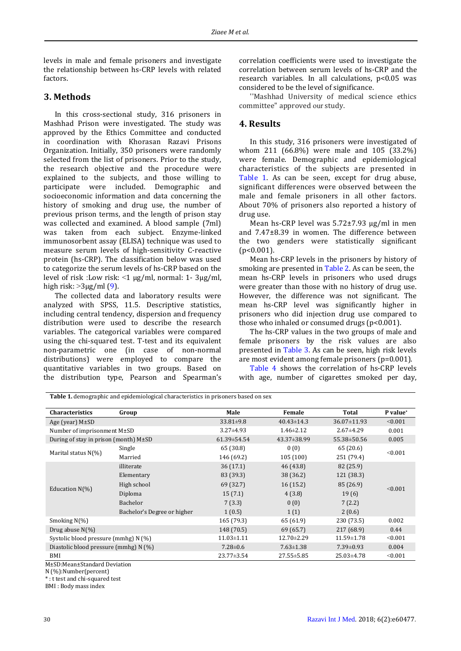levels in male and female prisoners and investigate the relationship between hs-CRP levels with related factors.

### **3. Methods**

In this cross-sectional study, 316 prisoners in Mashhad Prison were investigated. The study was approved by the Ethics Committee and conducted in coordination with Khorasan Razavi Prisons Organization. Initially, 350 prisoners were randomly selected from the list of prisoners. Prior to the study, the research objective and the procedure were explained to the subjects, and those willing to participate were included. Demographic and socioeconomic information and data concerning the history of smoking and drug use, the number of previous prison terms, and the length of prison stay was collected and examined. A blood sample (7ml) was taken from each subject. Enzyme-linked immunosorbent assay (ELISA) technique was used to measure serum levels of high-sensitivity C-reactive protein (hs-CRP). The classification below was used to categorize the serum levels of hs-CRP based on the level of risk :Low risk:  $\leq 1$  µg/ml, normal: 1- 3µg/ml, high risk:  $>3\mu$ g/ml [\(9\)](#page-4-8).

The collected data and laboratory results were analyzed with SPSS, 11.5. Descriptive statistics, including central tendency, dispersion and frequency distribution were used to describe the research variables. The categorical variables were compared using the chi-squared test. T-test and its equivalent non-parametric one (in case of non-normal distributions) were employed to compare the quantitative variables in two groups. Based on the distribution type, Pearson and Spearman's correlation coefficients were used to investigate the correlation between serum levels of hs-CRP and the research variables. In all calculations, p<0.05 was considered to be the level of significance.

''Mashhad University of medical science ethics committee" approved our study.

### **4. Results**

<span id="page-1-0"></span>In this study, 316 prisoners were investigated of whom 211 (66.8%) were male and 105 (33.2%) were female. Demographic and epidemiological characteristics of the subjects are presented in [Table 1.](#page-1-0) As can be seen, except for drug abuse, significant differences were observed between the male and female prisoners in all other factors. About 70% of prisoners also reported a history of drug use.

Mean hs-CRP level was 5.72±7.93 μg/ml in men and 7.47±8.39 in women. The difference between the two genders were statistically significant (p<0.001).

Mean hs-CRP levels in the prisoners by history of smoking are presented i[n Table 2.](#page-2-0) As can be seen, the mean hs-CRP levels in prisoners who used drugs were greater than those with no history of drug use. However, the difference was not significant. The mean hs-CRP level was significantly higher in prisoners who did injection drug use compared to those who inhaled or consumed drugs (p<0.001).

The hs-CRP values in the two groups of male and female prisoners by the risk values are also presented in [Table 3.](#page-2-1) As can be seen, high risk levels are most evident among female prisoners (p=0.001).

[Table 4](#page-2-2) shows the correlation of hs-CRP levels with age, number of cigarettes smoked per day,

**Table 1.** demographic and epidemiological characteristics in prisoners based on sex

| <b>Characteristics</b>                     | Group                       | Male              | Female            | Total             | P value* |
|--------------------------------------------|-----------------------------|-------------------|-------------------|-------------------|----------|
| Age (year) $M\pm SD$                       |                             | $33.81 \pm 9.8$   | $40.43 \pm 14.3$  | $36.07 \pm 11.93$ | < 0.001  |
| Number of imprisonment $M\pm SD$           |                             | $3.27 \pm 4.93$   | $1.46 \pm 2.12$   | $2.67 \pm 4.29$   | 0.001    |
| During of stay in prison (month) $M\pm SD$ |                             | $61.39 \pm 54.54$ | $43.37 \pm 38.99$ | $55.38 \pm 50.56$ | 0.005    |
| Marital status $N(\%)$                     | Single                      | 65 (30.8)         | 0(0)              | 65 (20.6)         | < 0.001  |
|                                            | Married                     | 146 (69.2)        | 105(100)          | 251 (79.4)        |          |
| Education $N(\%)$                          | illiterate                  | 36(17.1)          | 46 (43.8)         | 82 (25.9)         | < 0.001  |
|                                            | Elementary                  | 83 (39.3)         | 38 (36.2)         | 121 (38.3)        |          |
|                                            | High school                 | 69 (32.7)         | 16(15.2)          | 85 (26.9)         |          |
|                                            | Diploma                     | 15(7.1)           | 4(3.8)            | 19(6)             |          |
|                                            | Bachelor                    | 7(3.3)            | 0(0)              | 7(2.2)            |          |
|                                            | Bachelor's Degree or higher | 1(0.5)            | 1(1)              | 2(0.6)            |          |
| Smoking $N(\%)$                            |                             | 165 (79.3)        | 65 (61.9)         | 230 (73.5)        | 0.002    |
| Drug abuse $N(\%)$                         |                             | 148 (70.5)        | 69 (65.7)         | 217 (68.9)        | 0.44     |
| Systolic blood pressure (mmhg) N (%)       |                             | $11.03 \pm 1.11$  | $12.70 \pm 2.29$  | 11.59±1.78        | < 0.001  |
| Diastolic blood pressure (mmhg) N (%)      |                             | $7.28 \pm 0.6$    | $7.63 \pm 1.38$   | $7.39 \pm 0.93$   | 0.004    |
| BMI                                        |                             | $23.77 \pm 3.54$  | $27.55 \pm 5.85$  | 25.03±4.78        | < 0.001  |

M±SD:Mean±Standard Deviation

N (%):Number(percent)

\* : t test and chi-squared test

BMI : Body mass index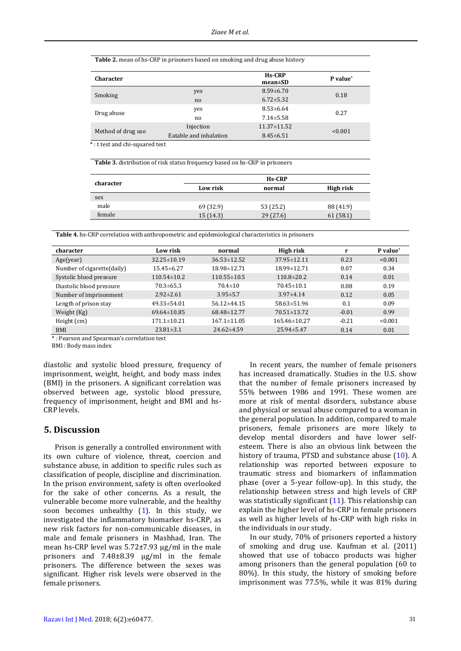<span id="page-2-0"></span>**Table 2.** mean of hs-CRP in prisoners based on smoking and drug abuse history

| <b>Character</b>   |                        | <b>Hs-CRP</b><br>$mean \pm SD$ | P value* |  |
|--------------------|------------------------|--------------------------------|----------|--|
| Smoking            | yes                    | $8.59 \pm 6.70$                | 0.18     |  |
|                    | no                     | $6.72 \pm 5.32$                |          |  |
| Drug abuse         | yes                    | $8.53 \pm 6.64$                | 0.27     |  |
|                    | no.                    | $7.14 \pm 5.58$                |          |  |
| Method of drug use | Injection              | $11.37 \pm 11.52$              | < 0.001  |  |
|                    | Eatable and inhalation | $8.45 \pm 6.51$                |          |  |
| $\cdots$<br>.      | $\blacksquare$         |                                |          |  |

\*: t test and chi-squared test

<span id="page-2-1"></span>**Table 3.** distribution of risk status frequency based on hs-CRP in prisoners

| character |           | <b>Hs-CRP</b> |           |
|-----------|-----------|---------------|-----------|
|           | Low risk  | normal        | High risk |
| sex       |           |               |           |
| male      | 69 (32.9) | 53 (25.2)     | 88 (41.9) |
| female    | 15(14.3)  | 29(27.6)      | 61(58.1)  |

<span id="page-2-2"></span>**Table 4.** hs-CRP correlation with anthropometric and epidemiological characteristics in prisoners

| character                  | Low risk          | normal            | High risk         |         | P value* |
|----------------------------|-------------------|-------------------|-------------------|---------|----------|
| Age(year)                  | $32.25 \pm 10.19$ | $36.53 \pm 12.52$ | 37.95±12.11       | 0.23    | < 0.001  |
| Number of cigarette(daily) | $15.45 \pm 6.27$  | 18.98±12.71       | 18.99±12.71       | 0.07    | 0.34     |
| Systolic blood pressure    | $110.54 \pm 10.2$ | $110.55 \pm 10.5$ | $110.8 \pm 20.2$  | 0.14    | 0.01     |
| Diastolic blood pressure   | $70.3 \pm 65.3$   | $70.4 \pm 10$     | $70.45 \pm 10.1$  | 0.08    | 0.19     |
| Number of imprisonment     | $2.92 \pm 2.61$   | $3.95 \pm 5.7$    | $3.97\pm4.14$     | 0.12    | 0.05     |
| Length of prison stay      | $49.33 \pm 54.01$ | $56.12\pm44.15$   | $58.63 \pm 51.96$ | 0.1     | 0.09     |
| Weight (Kg)                | $69.64 \pm 10.85$ | 68.48±12.77       | $70.51 \pm 13.72$ | $-0.01$ | 0.99     |
| Height (cm)                | $171.1 \pm 10.21$ | $167.1 \pm 11.05$ | $165.46\pm10.27$  | $-0.21$ | < 0.001  |
| <b>BMI</b>                 | $23.81 \pm 3.1$   | $24.62 \pm 4.59$  | $25.94 \pm 5.47$  | 0.14    | 0.01     |

\* : Pearson and Spearman's correlation test

BMI : Body mass index

diastolic and systolic blood pressure, frequency of imprisonment, weight, height, and body mass index (BMI) in the prisoners. A significant correlation was observed between age, systolic blood pressure, frequency of imprisonment, height and BMI and hs-CRP levels.

### **5. Discussion**

Prison is generally a controlled environment with its own culture of violence, threat, coercion and substance abuse, in addition to specific rules such as classification of people, discipline and discrimination. In the prison environment, safety is often overlooked for the sake of other concerns. As a result, the vulnerable become more vulnerable, and the healthy soon becomes unhealthy [\(1\)](#page-4-0). In this study, we investigated the inflammatory biomarker hs-CRP, as new risk factors for non-communicable diseases, in male and female prisoners in Mashhad, Iran. The mean hs-CRP level was 5.72±7.93 μg/ml in the male prisoners and 7.48±8.39 μg/ml in the female prisoners. The difference between the sexes was significant. Higher risk levels were observed in the female prisoners.

In recent years, the number of female prisoners has increased dramatically. Studies in the U.S. show that the number of female prisoners increased by 55% between 1986 and 1991. These women are more at risk of mental disorders, substance abuse and physical or sexual abuse compared to a woman in the general population. In addition, compared to male prisoners, female prisoners are more likely to develop mental disorders and have lower selfesteem. There is also an obvious link between the history of trauma, PTSD and substance abuse [\(10\)](#page-4-9). A relationship was reported between exposure to traumatic stress and biomarkers of inflammation phase (over a 5-year follow-up). In this study, the relationship between stress and high levels of CRP was statistically significant  $(11)$ . This relationship can explain the higher level of hs-CRP in female prisoners as well as higher levels of hs-CRP with high risks in the individuals in our study.

In our study, 70% of prisoners reported a history of smoking and drug use. Kaufman et al. (2011) showed that use of tobacco products was higher among prisoners than the general population (60 to 80%). In this study, the history of smoking before imprisonment was 77.5%, while it was 81% during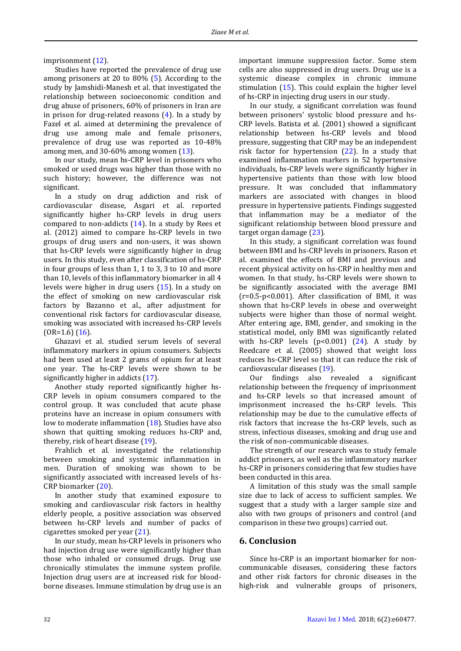imprisonment [\(12\)](#page-4-11).

Studies have reported the prevalence of drug use among prisoners at 20 to 80% [\(5\)](#page-4-4). According to the study by Jamshidi-Manesh et al. that investigated the relationship between socioeconomic condition and drug abuse of prisoners, 60% of prisoners in Iran are in prison for drug-related reasons [\(4\)](#page-4-3). In a study by Fazel et al. aimed at determining the prevalence of drug use among male and female prisoners, prevalence of drug use was reported as 10-48% among men, and  $30-60\%$  among women  $(13)$ .

In our study, mean hs-CRP level in prisoners who smoked or used drugs was higher than those with no such history; however, the difference was not significant.

In a study on drug addiction and risk of cardiovascular disease, Asgari et al. reported significantly higher hs-CRP levels in drug users compared to non-addicts  $(14)$ . In a study by Rees et al. (2012) aimed to compare hs-CRP levels in two groups of drug users and non-users, it was shown that hs-CRP levels were significantly higher in drug users. In this study, even after classification of hs-CRP in four groups of less than 1, 1 to 3, 3 to 10 and more than 10, levels of this inflammatory biomarker in all 4 levels were higher in drug users [\(15\)](#page-4-14). In a study on the effect of smoking on new cardiovascular risk factors by Bazanno et al., after adjustment for conventional risk factors for cardiovascular disease, smoking was associated with increased hs-CRP levels  $(OR=1.6)$   $(16)$ .

Ghazavi et al. studied serum levels of several inflammatory markers in opium consumers. Subjects had been used at least 2 grams of opium for at least one year. The hs-CRP levels were shown to be significantly higher in addicts [\(17\)](#page-4-16).

Another study reported significantly higher hs-CRP levels in opium consumers compared to the control group. It was concluded that acute phase proteins have an increase in opium consumers with low to moderate inflammation [\(18\)](#page-4-17). Studies have also shown that quitting smoking reduces hs-CRP and, thereby, risk of heart disease [\(19\)](#page-4-18).

Frahlich et al. investigated the relationship between smoking and systemic inflammation in men. Duration of smoking was shown to be significantly associated with increased levels of hs-CRP biomarker [\(20\)](#page-4-19).

In another study that examined exposure to smoking and cardiovascular risk factors in healthy elderly people, a positive association was observed between hs-CRP levels and number of packs of cigarettes smoked per year [\(21\)](#page-4-20).

In our study, mean hs-CRP levels in prisoners who had injection drug use were significantly higher than those who inhaled or consumed drugs. Drug use chronically stimulates the immune system profile. Injection drug users are at increased risk for bloodborne diseases. Immune stimulation by drug use is an

important immune suppression factor. Some stem cells are also suppressed in drug users. Drug use is a systemic disease complex in chronic immune stimulation [\(15\)](#page-4-14). This could explain the higher level of hs-CRP in injecting drug users in our study.

In our study, a significant correlation was found between prisoners' systolic blood pressure and hs-CRP levels. Batista et al. (2001) showed a significant relationship between hs-CRP levels and blood pressure, suggesting that CRP may be an independent risk factor for hypertension [\(22\)](#page-4-21). In a study that examined inflammation markers in 52 hypertensive individuals, hs-CRP levels were significantly higher in hypertensive patients than those with low blood pressure. It was concluded that inflammatory markers are associated with changes in blood pressure in hypertensive patients. Findings suggested that inflammation may be a mediator of the significant relationship between blood pressure and target organ damage [\(23\)](#page-4-22).

In this study, a significant correlation was found between BMI and hs-CRP levels in prisoners. Rason et al. examined the effects of BMI and previous and recent physical activity on hs-CRP in healthy men and women. In that study, hs-CRP levels were shown to be significantly associated with the average BMI (r=0.5-p<0.001). After classification of BMI, it was shown that hs-CRP levels in obese and overweight subjects were higher than those of normal weight. After entering age, BMI, gender, and smoking in the statistical model, only BMI was significantly related with hs-CRP levels  $(p<0.001)$   $(24)$ . A study by Reedcare et al. (2005) showed that weight loss reduces hs-CRP level so that it can reduce the risk of cardiovascular diseases [\(19\)](#page-4-18).

Our findings also revealed a significant relationship between the frequency of imprisonment and hs-CRP levels so that increased amount of imprisonment increased the hs-CRP levels. This relationship may be due to the cumulative effects of risk factors that increase the hs-CRP levels, such as stress, infectious diseases, smoking and drug use and the risk of non-communicable diseases.

The strength of our research was to study female addict prisoners, as well as the inflammatory marker hs-CRP in prisoners considering that few studies have been conducted in this area.

A limitation of this study was the small sample size due to lack of access to sufficient samples. We suggest that a study with a larger sample size and also with two groups of prisoners and control (and comparison in these two groups) carried out.

## **6. Conclusion**

Since hs-CRP is an important biomarker for noncommunicable diseases, considering these factors and other risk factors for chronic diseases in the high-risk and vulnerable groups of prisoners,